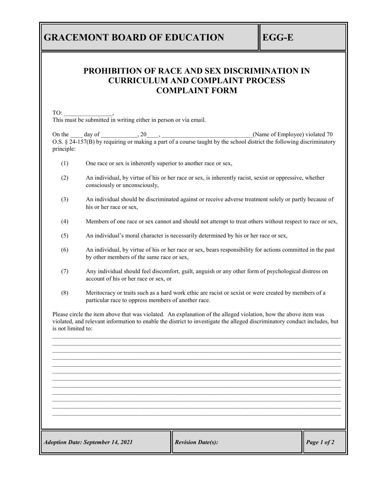## **GRACEMONT BOARD OF EDUCATION EGG-E**

## **PROHIBITION OF RACE AND SEX DISCRIMINATION IN CURRICULUM AND COMPLAINT PROCESS COMPLAINT FORM**

TO: \_\_\_\_\_\_\_\_\_\_\_\_\_\_\_\_, This must be submitted in writing either in person or via email.

On the  $\Box$  day of  $\Box$ ,  $20\Box$ ,  $\Box$ O.S. § 24-157(B) by requiring or making a part of a course taught by the school district the following discriminatory principle:

- (1) One race or sex is inherently superior to another race or sex,
- (2) An individual, by virtue of his or her race or sex, is inherently racist, sexist or oppressive, whether consciously or unconsciously,
- (3) An individual should be discriminated against or receive adverse treatment solely or partly because of his or her race or sex,
- (4) Members of one race or sex cannot and should not attempt to treat others without respect to race or sex,
- (5) An individual's moral character is necessarily determined by his or her race or sex,
- (6) An individual, by virtue of his or her race or sex, bears responsibility for actions committed in the past by other members of the same race or sex,
- (7) Any individual should feel discomfort, guilt, anguish or any other form of psychological distress on account of his or her race or sex, or
- (8) Meritocracy or traits such as a hard work ethic are racist or sexist or were created by members of a particular race to oppress members of another race.

Please circle the item above that was violated. An explanation of the alleged violation, how the above item was violated, and relevant information to enable the district to investigate the alleged discriminatory conduct includes, but is not limited to:

\_\_\_\_\_\_\_\_\_\_\_\_\_\_\_\_\_\_\_\_\_\_\_\_\_\_\_\_\_\_\_\_\_\_\_\_\_\_\_\_\_\_\_\_\_\_\_\_\_\_\_\_\_\_\_\_\_\_\_\_\_\_\_\_\_\_\_\_\_\_\_\_\_\_\_\_\_\_\_\_\_\_\_\_\_\_\_\_\_\_\_\_\_\_\_  $\mathcal{L}_\mathcal{L} = \mathcal{L}_\mathcal{L} = \mathcal{L}_\mathcal{L} = \mathcal{L}_\mathcal{L} = \mathcal{L}_\mathcal{L} = \mathcal{L}_\mathcal{L} = \mathcal{L}_\mathcal{L} = \mathcal{L}_\mathcal{L} = \mathcal{L}_\mathcal{L} = \mathcal{L}_\mathcal{L} = \mathcal{L}_\mathcal{L} = \mathcal{L}_\mathcal{L} = \mathcal{L}_\mathcal{L} = \mathcal{L}_\mathcal{L} = \mathcal{L}_\mathcal{L} = \mathcal{L}_\mathcal{L} = \mathcal{L}_\mathcal{L}$ \_\_\_\_\_\_\_\_\_\_\_\_\_\_\_\_\_\_\_\_\_\_\_\_\_\_\_\_\_\_\_\_\_\_\_\_\_\_\_\_\_\_\_\_\_\_\_\_\_\_\_\_\_\_\_\_\_\_\_\_\_\_\_\_\_\_\_\_\_\_\_\_\_\_\_\_\_\_\_\_\_\_\_\_\_\_\_\_\_\_\_\_\_\_\_ \_\_\_\_\_\_\_\_\_\_\_\_\_\_\_\_\_\_\_\_\_\_\_\_\_\_\_\_\_\_\_\_\_\_\_\_\_\_\_\_\_\_\_\_\_\_\_\_\_\_\_\_\_\_\_\_\_\_\_\_\_\_\_\_\_\_\_\_\_\_\_\_\_\_\_\_\_\_\_\_\_\_\_\_\_\_\_\_\_\_\_\_\_\_\_  $\mathcal{L}_\mathcal{L} = \mathcal{L}_\mathcal{L} = \mathcal{L}_\mathcal{L} = \mathcal{L}_\mathcal{L} = \mathcal{L}_\mathcal{L} = \mathcal{L}_\mathcal{L} = \mathcal{L}_\mathcal{L} = \mathcal{L}_\mathcal{L} = \mathcal{L}_\mathcal{L} = \mathcal{L}_\mathcal{L} = \mathcal{L}_\mathcal{L} = \mathcal{L}_\mathcal{L} = \mathcal{L}_\mathcal{L} = \mathcal{L}_\mathcal{L} = \mathcal{L}_\mathcal{L} = \mathcal{L}_\mathcal{L} = \mathcal{L}_\mathcal{L}$  $\mathcal{L}_\mathcal{L} = \mathcal{L}_\mathcal{L} = \mathcal{L}_\mathcal{L} = \mathcal{L}_\mathcal{L} = \mathcal{L}_\mathcal{L} = \mathcal{L}_\mathcal{L} = \mathcal{L}_\mathcal{L} = \mathcal{L}_\mathcal{L} = \mathcal{L}_\mathcal{L} = \mathcal{L}_\mathcal{L} = \mathcal{L}_\mathcal{L} = \mathcal{L}_\mathcal{L} = \mathcal{L}_\mathcal{L} = \mathcal{L}_\mathcal{L} = \mathcal{L}_\mathcal{L} = \mathcal{L}_\mathcal{L} = \mathcal{L}_\mathcal{L}$  $\bot$  , and the contribution of the contribution of the contribution of the contribution of the contribution of the contribution of the contribution of the contribution of the contribution of the contribution of the contri  $\mathcal{L}_\mathcal{L} = \mathcal{L}_\mathcal{L} = \mathcal{L}_\mathcal{L} = \mathcal{L}_\mathcal{L} = \mathcal{L}_\mathcal{L} = \mathcal{L}_\mathcal{L} = \mathcal{L}_\mathcal{L} = \mathcal{L}_\mathcal{L} = \mathcal{L}_\mathcal{L} = \mathcal{L}_\mathcal{L} = \mathcal{L}_\mathcal{L} = \mathcal{L}_\mathcal{L} = \mathcal{L}_\mathcal{L} = \mathcal{L}_\mathcal{L} = \mathcal{L}_\mathcal{L} = \mathcal{L}_\mathcal{L} = \mathcal{L}_\mathcal{L}$  $\mathcal{L}_\mathcal{L} = \mathcal{L}_\mathcal{L} = \mathcal{L}_\mathcal{L} = \mathcal{L}_\mathcal{L} = \mathcal{L}_\mathcal{L} = \mathcal{L}_\mathcal{L} = \mathcal{L}_\mathcal{L} = \mathcal{L}_\mathcal{L} = \mathcal{L}_\mathcal{L} = \mathcal{L}_\mathcal{L} = \mathcal{L}_\mathcal{L} = \mathcal{L}_\mathcal{L} = \mathcal{L}_\mathcal{L} = \mathcal{L}_\mathcal{L} = \mathcal{L}_\mathcal{L} = \mathcal{L}_\mathcal{L} = \mathcal{L}_\mathcal{L}$ \_\_\_\_\_\_\_\_\_\_\_\_\_\_\_\_\_\_\_\_\_\_\_\_\_\_\_\_\_\_\_\_\_\_\_\_\_\_\_\_\_\_\_\_\_\_\_\_\_\_\_\_\_\_\_\_\_\_\_\_\_\_\_\_\_\_\_\_\_\_\_\_\_\_\_\_\_\_\_\_\_\_\_\_\_\_\_\_\_\_\_\_\_\_\_ \_\_\_\_\_\_\_\_\_\_\_\_\_\_\_\_\_\_\_\_\_\_\_\_\_\_\_\_\_\_\_\_\_\_\_\_\_\_\_\_\_\_\_\_\_\_\_\_\_\_\_\_\_\_\_\_\_\_\_\_\_\_\_\_\_\_\_\_\_\_\_\_\_\_\_\_\_\_\_\_\_\_\_\_\_\_\_\_\_\_\_\_\_\_\_ \_\_\_\_\_\_\_\_\_\_\_\_\_\_\_\_\_\_\_\_\_\_\_\_\_\_\_\_\_\_\_\_\_\_\_\_\_\_\_\_\_\_\_\_\_\_\_\_\_\_\_\_\_\_\_\_\_\_\_\_\_\_\_\_\_\_\_\_\_\_\_\_\_\_\_\_\_\_\_\_\_\_\_\_\_\_\_\_\_\_\_\_\_\_\_

*Adoption Date: September 14, 2021 Revision Date(s): Page 1 of 2*